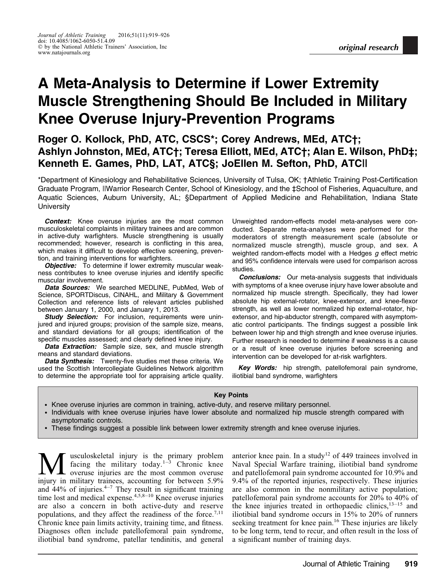# A Meta-Analysis to Determine if Lower Extremity Muscle Strengthening Should Be Included in Military Knee Overuse Injury-Prevention Programs

Roger O. Kollock, PhD, ATC, CSCS\*; Corey Andrews, MEd, ATC†; Ashlyn Johnston, MEd, ATC†; Teresa Elliott, MEd, ATC†; Alan E. Wilson, PhD‡; Kenneth E. Games, PhD, LAT, ATC§; JoEllen M. Sefton, PhD, ATC||

\*Department of Kinesiology and Rehabilitative Sciences, University of Tulsa, OK; †Athletic Training Post-Certification Graduate Program, ||Warrior Research Center, School of Kinesiology, and the ‡School of Fisheries, Aquaculture, and Aquatic Sciences, Auburn University, AL; §Department of Applied Medicine and Rehabilitation, Indiana State **University** 

**Context:** Knee overuse injuries are the most common musculoskeletal complaints in military trainees and are common in active-duty warfighters. Muscle strengthening is usually recommended; however, research is conflicting in this area, which makes it difficult to develop effective screening, prevention, and training interventions for warfighters.

**Objective:** To determine if lower extremity muscular weakness contributes to knee overuse injuries and identify specific muscular involvement.

Data Sources: We searched MEDLINE, PubMed, Web of Science, SPORTDiscus, CINAHL, and Military & Government Collection and reference lists of relevant articles published between January 1, 2000, and January 1, 2013.

**Study Selection:** For inclusion, requirements were uninjured and injured groups; provision of the sample size, means, and standard deviations for all groups; identification of the specific muscles assessed; and clearly defined knee injury.

**Data Extraction:** Sample size, sex, and muscle strength means and standard deviations.

Data Synthesis: Twenty-five studies met these criteria. We used the Scottish Intercollegiate Guidelines Network algorithm to determine the appropriate tool for appraising article quality. Unweighted random-effects model meta-analyses were conducted. Separate meta-analyses were performed for the moderators of strength measurement scale (absolute or normalized muscle strength), muscle group, and sex. A weighted random-effects model with a Hedges  $g$  effect metric and 95% confidence intervals were used for comparison across studies.

**Conclusions:** Our meta-analysis suggests that individuals with symptoms of a knee overuse injury have lower absolute and normalized hip muscle strength. Specifically, they had lower absolute hip external-rotator, knee-extensor, and knee-flexor strength, as well as lower normalized hip external-rotator, hipextensor, and hip-abductor strength, compared with asymptomatic control participants. The findings suggest a possible link between lower hip and thigh strength and knee overuse injuries. Further research is needed to determine if weakness is a cause or a result of knee overuse injuries before screening and intervention can be developed for at-risk warfighters.

Key Words: hip strength, patellofemoral pain syndrome, iliotibial band syndrome, warfighters

#### Key Points

- Knee overuse injuries are common in training, active-duty, and reserve military personnel.
- Individuals with knee overuse injuries have lower absolute and normalized hip muscle strength compared with asymptomatic controls.
- These findings suggest a possible link between lower extremity strength and knee overuse injuries.

 $\mathbf{M}$  usculoskeletal injury is the primary problem<br>facing the military today.<sup>1-3</sup> Chronic knee<br>injury in military trainees accounting for between 5.9% facing the military today.<sup>1-3</sup> Chronic knee overuse injuries are the most common overuse injury in military trainees, accounting for between 5.9% and  $44%$  of injuries. $4-7$  They result in significant training time lost and medical expense.<sup>4,5,8-10</sup> Knee overuse injuries are also a concern in both active-duty and reserve populations, and they affect the readiness of the force.<sup>7,11</sup> Chronic knee pain limits activity, training time, and fitness. Diagnoses often include patellofemoral pain syndrome, iliotibial band syndrome, patellar tendinitis, and general

anterior knee pain. In a study<sup>12</sup> of 449 trainees involved in Naval Special Warfare training, iliotibial band syndrome and patellofemoral pain syndrome accounted for 10.9% and 9.4% of the reported injuries, respectively. These injuries are also common in the nonmilitary active population; patellofemoral pain syndrome accounts for 20% to 40% of the knee injuries treated in orthopaedic clinics, $13-15$  and iliotibial band syndrome occurs in 15% to 20% of runners seeking treatment for knee pain.<sup>16</sup> These injuries are likely to be long term, tend to recur, and often result in the loss of a significant number of training days.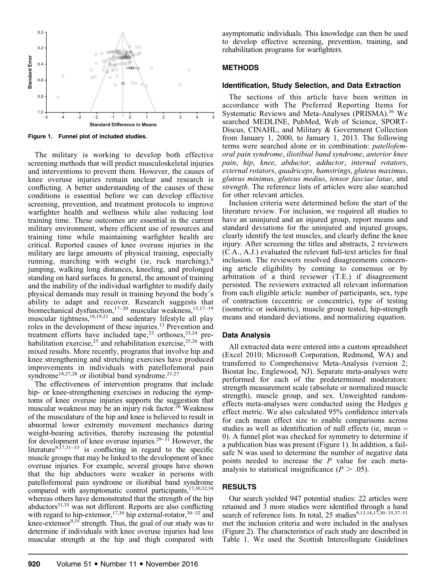

Figure 1. Funnel plot of included studies.

The military is working to develop both effective screening methods that will predict musculoskeletal injuries and interventions to prevent them. However, the causes of knee overuse injuries remain unclear and research is conflicting. A better understanding of the causes of these conditions is essential before we can develop effective screening, prevention, and treatment protocols to improve warfighter health and wellness while also reducing lost training time. These outcomes are essential in the current military environment, where efficient use of resources and training time while maintaining warfighter health are critical. Reported causes of knee overuse injuries in the military are large amounts of physical training, especially running, marching with weight (ie, ruck marching), jumping, walking long distances, kneeling, and prolonged standing on hard surfaces. In general, the amount of training and the inability of the individual warfighter to modify daily physical demands may result in training beyond the body's ability to adapt and recover. Research suggests that biomechanical dysfunction,<sup>17-20</sup> muscular weakness,<sup>13,17-19</sup> muscular tightness,<sup>18,19,21</sup> and sedentary lifestyle all play roles in the development of these injuries.13 Prevention and treatment efforts have included tape,<sup>22</sup> orthoses,<sup>23,24</sup> prehabilitation exercise,<sup>25</sup> and rehabilitation exercise,<sup>25,26</sup> with mixed results. More recently, programs that involve hip and knee strengthening and stretching exercises have produced improvements in individuals with patellofemoral pain syndrome<sup>18,27,28</sup> or iliotibial band syndrome.<sup>21,27</sup>

The effectiveness of intervention programs that include hip- or knee-strengthening exercises in reducing the symptoms of knee overuse injuries supports the suggestion that muscular weakness may be an injury risk factor.26 Weakness of the musculature of the hip and knee is believed to result in abnormal lower extremity movement mechanics during weight-bearing activities, thereby increasing the potential for development of knee overuse injuries. $29-31$  However, the literature<sup>9,17,31-33</sup> is conflicting in regard to the specific muscle groups that may be linked to the development of knee overuse injuries. For example, several groups have shown that the hip abductors were weaker in persons with patellofemoral pain syndrome or iliotibial band syndrome compared with asymptomatic control participants,<sup>17,30,32,34</sup> whereas others have demonstrated that the strength of the hip  $abductors<sup>31,33</sup>$  was not different. Reports are also conflicting with regard to hip-extensor,<sup>17,30</sup> hip external-rotator,<sup>30-32</sup> and knee-extensor $9,35$  strength. Thus, the goal of our study was to determine if individuals with knee overuse injuries had less muscular strength at the hip and thigh compared with asymptomatic individuals. This knowledge can then be used to develop effective screening, prevention, training, and rehabilitation programs for warfighters.

## METHODS

### Identification, Study Selection, and Data Extraction

The sections of this article have been written in accordance with The Preferred Reporting Items for Systematic Reviews and Meta-Analyses (PRISMA).<sup>36</sup> We searched MEDLINE, PubMed, Web of Science, SPORT-Discus, CINAHL, and Military & Government Collection from January 1, 2000, to January 1, 2013. The following terms were searched alone or in combination: patellofemoral pain syndrome, iliotibial band syndrome, anterior knee pain, hip, knee, abductor, adductor, internal rotators, external rotators, quadriceps, hamstrings, gluteus maximus, gluteus minimus, gluteus medius, tensor fasciae latae, and strength. The reference lists of articles were also searched for other relevant articles.

Inclusion criteria were determined before the start of the literature review. For inclusion, we required all studies to have an uninjured and an injured group, report means and standard deviations for the uninjured and injured groups, clearly identify the test muscles, and clearly define the knee injury. After screening the titles and abstracts, 2 reviewers (C.A., A.J.) evaluated the relevant full-text articles for final inclusion. The reviewers resolved disagreements concerning article eligibility by coming to consensus or by arbitration of a third reviewer (T.E.) if disagreement persisted. The reviewers extracted all relevant information from each eligible article: number of participants, sex, type of contraction (eccentric or concentric), type of testing (isometric or isokinetic), muscle group tested, hip-strength means and standard deviations, and normalizing equation.

## Data Analysis

All extracted data were entered into a custom spreadsheet (Excel 2010; Microsoft Corporation, Redmond, WA) and transferred to Comprehensive Meta-Analysis (version 2; Biostat Inc, Englewood, NJ). Separate meta-analyses were performed for each of the predetermined moderators: strength measurement scale (absolute or normalized muscle strength), muscle group, and sex. Unweighted randomeffects meta-analyses were conducted using the Hedges g effect metric. We also calculated 95% confidence intervals for each mean effect size to enable comparisons across studies as well as identification of null effects (ie, mean  $=$ 0). A funnel plot was checked for symmetry to determine if a publication bias was present (Figure 1). In addition, a failsafe N was used to determine the number of negative data points needed to increase the P value for each metaanalysis to statistical insignificance  $(P > .05)$ .

## RESULTS

Our search yielded 947 potential studies: 22 articles were retained and 3 more studies were identified through a hand search of reference lists. In total, 25 studies<sup>9,13,14,17,30–35,37–51</sup> met the inclusion criteria and were included in the analyses (Figure 2). The characteristics of each study are described in Table 1. We used the Scottish Intercollegiate Guidelines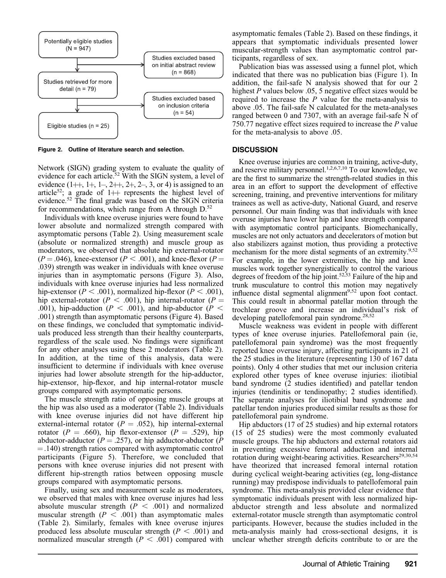

Figure 2. Outline of literature search and selection.

Network (SIGN) grading system to evaluate the quality of evidence for each article.<sup>52</sup> With the SIGN system, a level of evidence  $(1 + 1, 1 + 1, 2 + 1, 2 + 1, 2 + 1, 3, 0$  is assigned to an article<sup>52</sup>; a grade of 1++ represents the highest level of evidence.<sup>52</sup> The final grade was based on the SIGN criteria for recommendations, which range from A through  $D^{52}$ .

Individuals with knee overuse injuries were found to have lower absolute and normalized strength compared with asymptomatic persons (Table 2). Using measurement scale (absolute or normalized strength) and muscle group as moderators, we observed that absolute hip external-rotator  $(P = .046)$ , knee-extensor  $(P < .001)$ , and knee-flexor  $(P = .046)$ .039) strength was weaker in individuals with knee overuse injuries than in asymptomatic persons (Figure 3). Also, individuals with knee overuse injuries had less normalized hip-extensor ( $P < .001$ ), normalized hip-flexor ( $P < .001$ ), hip external-rotator ( $P < .001$ ), hip internal-rotator ( $P =$ .001), hip-adduction ( $P < .001$ ), and hip-abductor ( $P <$ .001) strength than asymptomatic persons (Figure 4). Based on these findings, we concluded that symptomatic individuals produced less strength than their healthy counterparts, regardless of the scale used. No findings were significant for any other analyses using these 2 moderators (Table 2). In addition, at the time of this analysis, data were insufficient to determine if individuals with knee overuse injuries had lower absolute strength for the hip-adductor, hip-extensor, hip-flexor, and hip internal-rotator muscle groups compared with asymptomatic persons.

The muscle strength ratio of opposing muscle groups at the hip was also used as a moderator (Table 2). Individuals with knee overuse injuries did not have different hip external-internal rotator ( $P = .052$ ), hip internal-external rotator ( $P = .660$ ), hip flexor-extensor ( $P = .529$ ), hip abductor-adductor ( $P = .257$ ), or hip adductor-abductor ( $P = .257$ )  $=$ .140) strength ratios compared with asymptomatic control participants (Figure 5). Therefore, we concluded that persons with knee overuse injuries did not present with different hip-strength ratios between opposing muscle groups compared with asymptomatic persons.

Finally, using sex and measurement scale as moderators, we observed that males with knee overuse injures had less absolute muscular strength  $(P < .001)$  and normalized muscular strength  $(P < .001)$  than asymptomatic males (Table 2). Similarly, females with knee overuse injures produced less absolute muscular strength ( $P < .001$ ) and normalized muscular strength  $(P < .001)$  compared with asymptomatic females (Table 2). Based on these findings, it appears that symptomatic individuals presented lower muscular-strength values than asymptomatic control participants, regardless of sex.

Publication bias was assessed using a funnel plot, which indicated that there was no publication bias (Figure 1). In addition, the fail-safe N analysis showed that for our 2 highest P values below .05, 5 negative effect sizes would be required to increase the  $P$  value for the meta-analysis to above .05. The fail-safe N calculated for the meta-analyses ranged between 0 and 7307, with an average fail-safe N of 750.77 negative effect sizes required to increase the P value for the meta-analysis to above .05.

#### **DISCUSSION**

Knee overuse injuries are common in training, active-duty, and reserve military personnel. $1,2,6,7,10$  To our knowledge, we are the first to summarize the strength-related studies in this area in an effort to support the development of effective screening, training, and preventive interventions for military trainees as well as active-duty, National Guard, and reserve personnel. Our main finding was that individuals with knee overuse injuries have lower hip and knee strength compared with asymptomatic control participants. Biomechanically, muscles are not only actuators and decelerators of motion but also stabilizers against motion, thus providing a protective mechanism for the more distal segments of an extremity.<sup>9,52</sup> For example, in the lower extremities, the hip and knee muscles work together synergistically to control the various degrees of freedom of the hip joint.<sup>52,53</sup> Failure of the hip and trunk musculature to control this motion may negatively influence distal segmental alignment<sup>9,52</sup> upon foot contact. This could result in abnormal patellar motion through the trochlear groove and increase an individual's risk of developing patellofemoral pain syndrome.<sup>28,52</sup>

Muscle weakness was evident in people with different types of knee overuse injuries. Patellofemoral pain (ie, patellofemoral pain syndrome) was the most frequently reported knee overuse injury, affecting participants in 21 of the 25 studies in the literature (representing 130 of 167 data points). Only 4 other studies that met our inclusion criteria explored other types of knee overuse injuries: iliotibial band syndrome (2 studies identified) and patellar tendon injuries (tendinitis or tendinopathy; 2 studies identified). The separate analyses for iliotibial band syndrome and patellar tendon injuries produced similar results as those for patellofemoral pain syndrome.

Hip abductors (17 of 25 studies) and hip external rotators (15 of 25 studies) were the most commonly evaluated muscle groups. The hip abductors and external rotators aid in preventing excessive femoral adduction and internal rotation during weight-bearing activities. Researchers<sup>29,30,54</sup> have theorized that increased femoral internal rotation during cyclical weight-bearing activities (eg, long-distance running) may predispose individuals to patellofemoral pain syndrome. This meta-analysis provided clear evidence that symptomatic individuals present with less normalized hipabductor strength and less absolute and normalized external-rotator muscle strength than asymptomatic control participants. However, because the studies included in the meta-analysis mainly had cross-sectional designs, it is unclear whether strength deficits contribute to or are the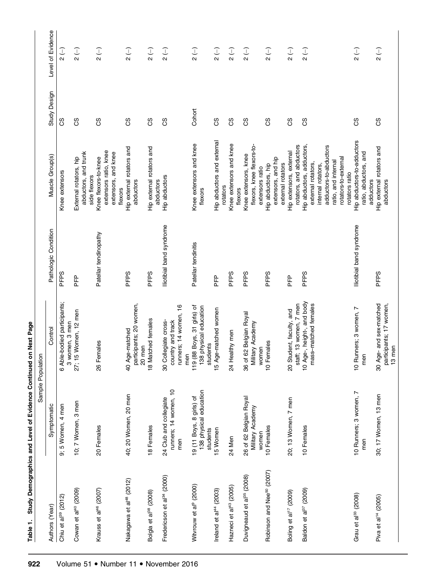|                                        |                                                                | Sample Population                                                         |                          |                                                                                                                                                                  |              |                                                                  |
|----------------------------------------|----------------------------------------------------------------|---------------------------------------------------------------------------|--------------------------|------------------------------------------------------------------------------------------------------------------------------------------------------------------|--------------|------------------------------------------------------------------|
| Authors (Year)                         | Symptomatic                                                    | Control                                                                   | Pathologic Condition     | Muscle Group(s)                                                                                                                                                  | Study Design | Level of Evidence                                                |
| Chiu et al <sup>39</sup> (2012)        | 9; 5 Women, 4 men                                              | 6 Able-bodied participants;<br>women, 3 men<br>ო                          | PFPS                     | Knee extensors                                                                                                                                                   | 8S           | $\begin{array}{c} \n\hline\n2\n\end{array}$                      |
| Cowan et al <sup>40</sup> (2009)       | 10; 7 Women, 3 men                                             | 15 Women, 12 men<br>27; 1                                                 | PFP                      | abductors, and trunk<br>External rotators, hip<br>side flexors                                                                                                   | ပ္ပ          | $\begin{array}{c} 2 \end{array}$                                 |
| Krauss et al <sup>46</sup> (2007)      | 20 Females                                                     | emales<br>∟<br>86                                                         | Patellar tendinopathy    | extensors ratio, knee<br>extensors, and knee<br>Knee flexors-to-knee<br>flexors                                                                                  | ပ္ပ          | $\begin{pmatrix} - \\ 2 \end{pmatrix}$                           |
| Nakagawa et al <sup>48</sup> (2012)    | 40; 20 Women, 20 men                                           | participants; 20 women,<br>20 men<br>40 Age-matched                       | PFPS                     | Hip external rotators and<br>abductors                                                                                                                           | ပ္ပ          | $\overline{2}$ (-)                                               |
| Bolgla et al <sup>38</sup> (2008)      | 18 Females                                                     | 18 Matched females                                                        | PFPS                     | Hip external rotators and<br>abductors                                                                                                                           | ပိ           | $\overline{c}$                                                   |
| Fredericson et al <sup>34</sup> (2000) | runners; 14 women, 10<br>24 Club and collegiate<br>men         | runners; 14 women, 16<br>30 Collegiate cross-<br>country and track<br>men | lliotibial band syndrome | Hip abductors                                                                                                                                                    | 8S           | $\overline{c}$                                                   |
| Witvrouw et al <sup>9</sup> (2000)     | 138 physical education<br>19 (11 Boys, 8 girls) of<br>students | 119 (88 Boys, 31 girls) of<br>138 physical education<br>students          | Patellar tendinitis      | Knee extensors and knee<br>flexors                                                                                                                               | Cohort       | $\begin{pmatrix} - \\ 2 \end{pmatrix}$                           |
| Ireland et al <sup>44</sup> (2003)     | 15 Women                                                       | 15 Age-matched women                                                      | 운                        | Hip abductors and external<br>rotators                                                                                                                           | ပ္ပ          | $\begin{array}{c} \begin{array}{c} \\ 2 \end{array} \end{array}$ |
| Hazneci et al <sup>43</sup> (2005)     | 24 Men                                                         | 24 Healthy men                                                            | PFPS                     | Knee extensors and knee<br>flexors                                                                                                                               | 8S           | $\overline{c}$                                                   |
| Duvigneaud et al <sup>35</sup> (2008)  | 26 of 62 Belgian Royal<br>Military Academy<br>women            | 36 of 62 Belgian Royal<br>Military Academy<br>women                       | PFPS                     | flexors, knee flexors-to-<br>Knee extensors, knee<br>extensors ratio                                                                                             | ပ္ပ          | $\overline{c}$                                                   |
| Robinson and Nee <sup>50</sup> (2007)  | 10 Females                                                     | emales<br>10 F                                                            | PFPS                     | extensors, and hip<br>external rotators<br>Hip abductors, hip                                                                                                    | ပ္ပ          | $\begin{pmatrix} - \\ 2 \end{pmatrix}$                           |
| Boling et al <sup>17</sup> (2009)      | 20; 13 Women, 7 men                                            | staff, 13 women, 7 men<br>20 Student, faculty, and                        | <u>PFP</u>               | rotators, and abductors<br>Hip extensors, external                                                                                                               | ပ္ပ          | $\frac{1}{2}$                                                    |
| Baldon et al <sup>37</sup> (2009)      | 10 Females                                                     | 10 Age-, height-, and body<br>mass-matched females                        | PFPS                     | Hip abductors, adductors,<br>adductors-to-abductors<br>rotators-to-external<br>ratio, and internal<br>external rotators,<br>internal rotators,<br>rotators ratio | ပ္ပ          | $\frac{1}{2}$                                                    |
| Grau et al <sup>33</sup> (2008)        | 10 Runners; 3 women, 7<br>men                                  | 10 Runners; 3 women, 7<br>men                                             | lliotibial band syndrome | Hip abductors-to-adductors<br>ratio, abductors, and<br>adductors                                                                                                 | ပ္ပ          | $\begin{pmatrix} - \\ - \end{pmatrix}$                           |
| Piva et al <sup>14</sup> (2005)        | 30; 17 Women, 13 men                                           | 30 Age- and sex-matched<br>participants; 17 women,<br>13 men              | PFPS                     | Hip external rotators and<br>abductors                                                                                                                           | 8S           | $\overline{c}$                                                   |

Table 1. Study Demographics and Level of Evidence Continued on Next Page Table 1. Study Demographics and Level of Evidence Continued on Next Page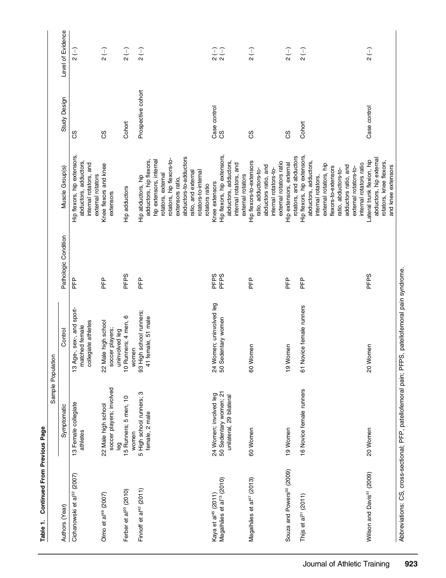| Continued From Previous Page<br>Table 1.                                |                                                                              | Sample Population                                                                                 |                      |                                                                                                                                                                                                                          |                    |                                        |
|-------------------------------------------------------------------------|------------------------------------------------------------------------------|---------------------------------------------------------------------------------------------------|----------------------|--------------------------------------------------------------------------------------------------------------------------------------------------------------------------------------------------------------------------|--------------------|----------------------------------------|
| Authors (Year)                                                          | Symptomatic                                                                  | Control                                                                                           | Pathologic Condition | Muscle Group(s)                                                                                                                                                                                                          | Study Design       | Level of Evidence                      |
| Cichanowski et al <sup>32</sup> (2007)                                  | 13 Female collegiate<br>athletes                                             | 13 Age-, sex-, and sport-<br>collegiate athletes<br>matched female                                | 운                    | Hip flexors, hip extensors,<br>abductors, adductors,<br>internal rotators, and<br>external rotators                                                                                                                      | 8S                 | $\frac{1}{2}$                          |
| Olmo et al <sup>49</sup> (2007)                                         | soccer players; involved<br>22 Male high school<br>leg                       | 22 Male high school<br>soccer players;<br>uninvolved leg                                          | 문                    | Knee flexors and knee<br>extensors                                                                                                                                                                                       | ပ္ပ                | $\overline{2}$ (-)                     |
| Ferber et al <sup>20</sup> (2010)                                       | 15 Runners; 5 men, 10<br>women                                               | o<br>10 Runners; 4 men,<br>women                                                                  | PFPS                 | Hip adductors                                                                                                                                                                                                            | Cohort             | $\overline{2}$ (-)                     |
| Finnoff et al <sup>42</sup> (2011)                                      | 5 High school runners; 3<br>female, 2 male                                   | 93 High school runners;<br>41 female, 51 male                                                     | 문                    | abductors-to-adductors<br>rotators, hip flexors-to-<br>adductors, hip flexors,<br>hip extensors, internal<br>rotators-to-internal<br>ratio, and external<br>rotators, external<br>Hip abductors, hip<br>extensors ratio, | Prospective cohort | $\overline{2}$ (-)                     |
|                                                                         |                                                                              |                                                                                                   |                      | rotators ratio                                                                                                                                                                                                           |                    |                                        |
| Magalhães et al <sup>13</sup> (2010)<br>Kaya et al <sup>45</sup> (2011) | 50 Sedentary women; 21<br>24 Women; involved leg<br>unilateral, 29 bilateral | 24 Women; uninvolved leg<br>50 Sedentary women                                                    | PFPS<br>PFPS         | Hip flexors, hip extensors,<br>abductors, adductors,<br>internal rotators, and<br>external rotators<br>Knee extensors                                                                                                    | Case control<br>CS | IJ                                     |
| Magalhães et al <sup>47</sup> (2013)                                    | 60 Women                                                                     | 60 Women                                                                                          | 문                    | Hip flexors-to-extensors<br>external rotators ratio<br>abductors ratio, and<br>internal rotators-to-<br>ratio, adductors-to-                                                                                             | 8S                 | $\begin{pmatrix} - \\ 2 \end{pmatrix}$ |
| Souza and Powers <sup>30</sup> (2009)                                   | 19 Women                                                                     | 19 Women                                                                                          | <u>마</u>             | Hip extensors, external                                                                                                                                                                                                  | ပ္ပ                | $\overline{2}$ (-)                     |
| Thijs et al <sup>31</sup> (2011)                                        | 16 Novice female runners                                                     | 61 Novice female runners                                                                          | 문                    | Hip flexors, hip extensors,<br>rotators, and abductors<br>abductors, adductors,<br>external rotators, hip<br>adductors ratio, and<br>flexors-to-extensors<br>ratio, abductors-to-<br>internal rotators,                  | Cohort             | $\overline{2}$ (-)                     |
|                                                                         |                                                                              |                                                                                                   |                      | internal rotators ratio<br>extemal rotators-to-                                                                                                                                                                          |                    |                                        |
| Willson and Davis <sup>51</sup> (2009)                                  | 20 Women                                                                     | 20 Women                                                                                          | PFPS                 | abductors, hip external<br>Lateral trunk flexion, hip<br>rotators, knee flexors,<br>and knee extensors                                                                                                                   | Case control       | $\overline{c}$                         |
|                                                                         |                                                                              | Abbreviations: CS, cross-sectional; PFP, patellofemoral pain; PFPS, patellofemoral pain syndrome. |                      |                                                                                                                                                                                                                          |                    |                                        |

Abbreviations: CS, CS, Coss-sectional; PFP, patellofemoral paint, PFPS, patellofemoral pain syndrome.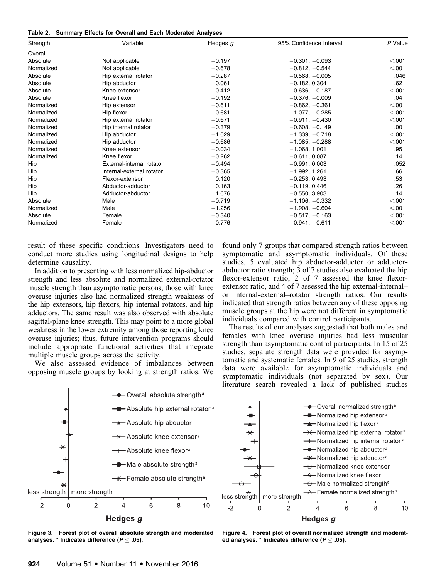| Table 2. Summary Effects for Overall and Each Moderated Analyses |  |  |  |  |  |  |  |  |  |
|------------------------------------------------------------------|--|--|--|--|--|--|--|--|--|
|------------------------------------------------------------------|--|--|--|--|--|--|--|--|--|

| Strength   | Variable                  | Hedges $g$ | 95% Confidence Interval | P Value |
|------------|---------------------------|------------|-------------------------|---------|
| Overall    |                           |            |                         |         |
| Absolute   | Not applicable            | $-0.197$   | $-0.301, -0.093$        | < 0.001 |
| Normalized | Not applicable            | $-0.678$   | $-0.812, -0.544$        | < .001  |
| Absolute   | Hip external rotator      | $-0.287$   | $-0.568, -0.005$        | .046    |
| Absolute   | Hip abductor              | 0.061      | $-0.182, 0.304$         | .62     |
| Absolute   | Knee extensor             | $-0.412$   | $-0.636, -0.187$        | < 0.001 |
| Absolute   | Knee flexor               | $-0.192$   | $-0.376, -0.009$        | .04     |
| Normalized | Hip extensor              | $-0.611$   | $-0.862, -0.361$        | < .001  |
| Normalized | Hip flexor                | $-0.681$   | $-1.077, -0.285$        | < .001  |
| Normalized | Hip external rotator      | $-0.671$   | $-0.911, -0.430$        | < .001  |
| Normalized | Hip internal rotator      | $-0.379$   | $-0.608, -0.149$        | .001    |
| Normalized | Hip abductor              | $-1.029$   | $-1.339, -0.718$        | < .001  |
| Normalized | Hip adductor              | $-0.686$   | $-1.085, -0.288$        | < .001  |
| Normalized | Knee extensor             | $-0.034$   | $-1.068, 1.001$         | .95     |
| Normalized | Knee flexor               | $-0.262$   | $-0.611, 0.087$         | .14     |
| Hip        | External-internal rotator | $-0.494$   | $-0.991, 0.003$         | .052    |
| Hip        | Internal-external rotator | $-0.365$   | $-1.992, 1.261$         | .66     |
| Hip        | Flexor-extensor           | 0.120      | $-0.253, 0.493$         | .53     |
| Hip        | Abductor-adductor         | 0.163      | $-0.119, 0.446$         | .26     |
| Hip        | Adductor-abductor         | 1.676      | $-0.550, 3.903$         | .14     |
| Absolute   | Male                      | $-0.719$   | $-1.106, -0.332$        | < .001  |
| Normalized | Male                      | $-1.256$   | $-1.908, -0.604$        | < .001  |
| Absolute   | Female                    | $-0.340$   | $-0.517, -0.163$        | < .001  |
| Normalized | Female                    | $-0.776$   | $-0.941, -0.611$        | < .001  |

result of these specific conditions. Investigators need to conduct more studies using longitudinal designs to help determine causality.

In addition to presenting with less normalized hip-abductor strength and less absolute and normalized external-rotator muscle strength than asymptomatic persons, those with knee overuse injuries also had normalized strength weakness of the hip extensors, hip flexors, hip internal rotators, and hip adductors. The same result was also observed with absolute sagittal-plane knee strength. This may point to a more global weakness in the lower extremity among those reporting knee overuse injuries; thus, future intervention programs should include appropriate functional activities that integrate multiple muscle groups across the activity.

We also assessed evidence of imbalances between opposing muscle groups by looking at strength ratios. We found only 7 groups that compared strength ratios between symptomatic and asymptomatic individuals. Of these studies, 5 evaluated hip abductor-adductor or adductorabductor ratio strength;  $\overline{3}$  of 7 studies also evaluated the hip flexor-extensor ratio, 2 of 7 assessed the knee flexorextensor ratio, and 4 of 7 assessed the hip external-internal– or internal-external–rotator strength ratios. Our results indicated that strength ratios between any of these opposing muscle groups at the hip were not different in symptomatic individuals compared with control participants.

The results of our analyses suggested that both males and females with knee overuse injuries had less muscular strength than asymptomatic control participants. In 15 of 25 studies, separate strength data were provided for asymptomatic and systematic females. In 9 of 25 studies, strength data were available for asymptomatic individuals and symptomatic individuals (not separated by sex). Our literature search revealed a lack of published studies







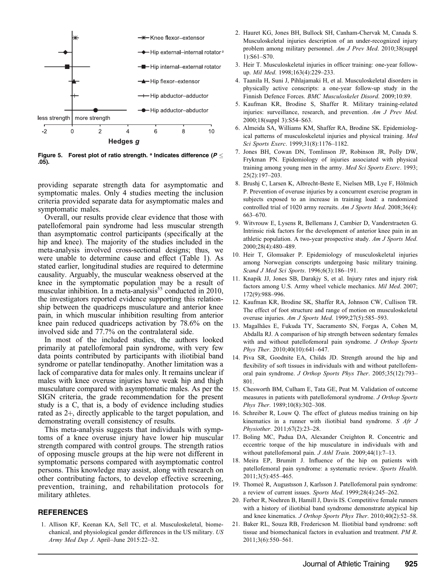

Figure 5. Forest plot of ratio strength. <sup>a</sup> Indicates difference ( $P \leq$ .05).

providing separate strength data for asymptomatic and symptomatic males. Only 4 studies meeting the inclusion criteria provided separate data for asymptomatic males and symptomatic males.

Overall, our results provide clear evidence that those with patellofemoral pain syndrome had less muscular strength than asymptomatic control participants (specifically at the hip and knee). The majority of the studies included in the meta-analysis involved cross-sectional designs; thus, we were unable to determine cause and effect (Table 1). As stated earlier, longitudinal studies are required to determine causality. Arguably, the muscular weakness observed at the knee in the symptomatic population may be a result of muscular inhibition. In a meta-analysis<sup>55</sup> conducted in 2010, the investigators reported evidence supporting this relationship between the quadriceps musculature and anterior knee pain, in which muscular inhibition resulting from anterior knee pain reduced quadriceps activation by 78.6% on the involved side and 77.7% on the contralateral side.

In most of the included studies, the authors looked primarily at patellofemoral pain syndrome, with very few data points contributed by participants with iliotibial band syndrome or patellar tendinopathy. Another limitation was a lack of comparative data for males only. It remains unclear if males with knee overuse injuries have weak hip and thigh musculature compared with asymptomatic males. As per the SIGN criteria, the grade recommendation for the present study is a C, that is, a body of evidence including studies rated as 2+, directly applicable to the target population, and demonstrating overall consistency of results.

This meta-analysis suggests that individuals with symptoms of a knee overuse injury have lower hip muscular strength compared with control groups. The strength ratios of opposing muscle groups at the hip were not different in symptomatic persons compared with asymptomatic control persons. This knowledge may assist, along with research on other contributing factors, to develop effective screening, prevention, training, and rehabilitation protocols for military athletes.

#### **REFERENCES**

1. Allison KF, Keenan KA, Sell TC, et al. Musculoskeletal, biomechanical, and physiological gender differences in the US military. US Army Med Dep J. April-June  $2015:22-32$ .

- 2. Hauret KG, Jones BH, Bullock SH, Canham-Chervak M, Canada S. Musculoskeletal injuries description of an under-recognized injury problem among military personnel. Am J Prev Med. 2010;38(suppl 1):S61–S70.
- 3. Heir T. Musculoskeletal injuries in officer training: one-year followup. Mil Med. 1998;163(4):229-233.
- 4. Taanila H, Suni J, Pihlajamaki H, et al. Musculoskeletal disorders in physically active conscripts: a one-year follow-up study in the Finnish Defence Forces. BMC Musculoskelet Disord. 2009;10:89.
- 5. Kaufman KR, Brodine S, Shaffer R. Military training-related injuries: surveillance, research, and prevention. Am J Prev Med. 2000;18(suppl 3):S54–S63.
- 6. Almeida SA, Williams KM, Shaffer RA, Brodine SK. Epidemiological patterns of musculoskeletal injuries and physical training. Med Sci Sports Exerc. 1999;31(8):1176–1182.
- 7. Jones BH, Cowan DN, Tomlinson JP, Robinson JR, Polly DW, Frykman PN. Epidemiology of injuries associated with physical training among young men in the army. Med Sci Sports Exerc. 1993; 25(2):197–203.
- 8. Brushj C, Larsen K, Albrecht-Beste E, Nielsen MB, Lye F, Holmich ¨ P. Prevention of overuse injuries by a concurrent exercise program in subjects exposed to an increase in training load: a randomized controlled trial of 1020 army recruits. Am J Sports Med. 2008;36(4): 663–670.
- 9. Witvrouw E, Lysens R, Bellemans J, Cambier D, Vanderstraeten G. Intrinsic risk factors for the development of anterior knee pain in an athletic population. A two-year prospective study. Am J Sports Med. 2000;28(4):480–489.
- 10. Heir T, Glomsaker P. Epidemiology of musculoskeletal injuries among Norwegian conscripts undergoing basic military training. Scand J Med Sci Sports. 1996;6(3):186–191.
- 11. Knapik JJ, Jones SB, Darakjy S, et al. Injury rates and injury risk factors among U.S. Army wheel vehicle mechanics. Mil Med. 2007; 172(9):988–996.
- 12. Kaufman KR, Brodine SK, Shaffer RA, Johnson CW, Cullison TR. The effect of foot structure and range of motion on musculoskeletal overuse injuries. Am J Sports Med. 1999;27(5):585–593.
- 13. Magalhães E, Fukuda TY, Sacramento SN, Forgas A, Cohen M, Abdalla RJ. A comparison of hip strength between sedentary females with and without patellofemoral pain syndrome. J Orthop Sports Phys Ther. 2010;40(10):641–647.
- 14. Piva SR, Goodnite EA, Childs JD. Strength around the hip and flexibility of soft tissues in individuals with and without patellofemoral pain syndrome. J Orthop Sports Phys Ther. 2005;35(12):793– 801.
- 15. Chesworth BM, Culham E, Tata GE, Peat M. Validation of outcome measures in patients with patellofemoral syndrome. J Orthop Sports Phys Ther. 1989;10(8):302–308.
- 16. Schreiber R, Louw Q. The effect of gluteus medius training on hip kinematics in a runner with iliotibial band syndrome. S Afr J Physiother. 2011;67(2):23–28.
- 17. Boling MC, Padua DA, Alexander Creighton R. Concentric and eccentric torque of the hip musculature in individuals with and without patellofemoral pain. *J Athl Train*. 2009;44(1):7-13.
- 18. Meira EP, Brumitt J. Influence of the hip on patients with patellofemoral pain syndrome: a systematic review. Sports Health. 2011;3(5):455–465.
- 19. Thomeé R, Augustsson J, Karlsson J. Patellofemoral pain syndrome: a review of current issues. Sports Med. 1999;28(4):245–262.
- 20. Ferber R, Noehren B, Hamill J, Davis IS. Competitive female runners with a history of iliotibial band syndrome demonstrate atypical hip and knee kinematics. J Orthop Sports Phys Ther. 2010;40(2):52–58.
- 21. Baker RL, Souza RB, Fredericson M. Iliotibial band syndrome: soft tissue and biomechanical factors in evaluation and treatment. PM R. 2011;3(6):550–561.